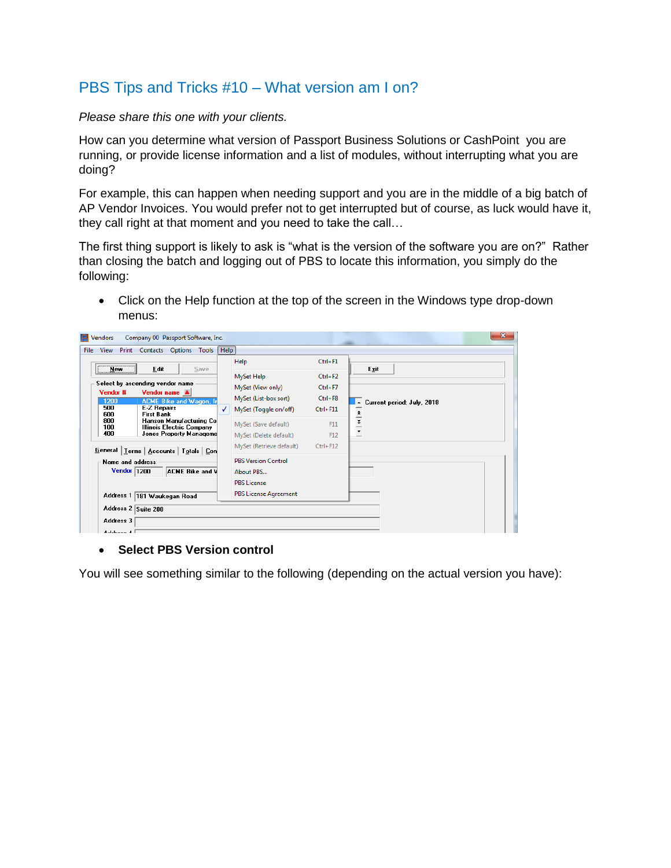## PBS Tips and Tricks #10 – What version am I on?

*Please share this one with your clients.*

How can you determine what version of Passport Business Solutions or CashPoint you are running, or provide license information and a list of modules, without interrupting what you are doing?

For example, this can happen when needing support and you are in the middle of a big batch of AP Vendor Invoices. You would prefer not to get interrupted but of course, as luck would have it, they call right at that moment and you need to take the call…

The first thing support is likely to ask is "what is the version of the software you are on?" Rather than closing the batch and logging out of PBS to locate this information, you simply do the following:

 Click on the Help function at the top of the screen in the Windows type drop-down menus:

| Vendors<br>View<br>File                       | Company 00 Passport Software, Inc.<br>Print Contacts Options Tools                                                                                       |      | Help |                                                                                               |                                                           | $\mathbf{x}$                    |
|-----------------------------------------------|----------------------------------------------------------------------------------------------------------------------------------------------------------|------|------|-----------------------------------------------------------------------------------------------|-----------------------------------------------------------|---------------------------------|
| <b>New</b>                                    | Edit                                                                                                                                                     | Save |      | Help                                                                                          | $Ctrl + F1$                                               | Exit                            |
| Vendor #<br>1200<br>500                       | Select by ascending vendor name<br>Vendor name A<br><b>ACME Bike and Wagon, In</b><br><b>E-Z Repairs</b>                                                 |      | ✓    | MySet Help<br>MySet (View only)<br>MySet (List-box sort)<br>MySet (Toggle on/off)             | $Ctrl + F2$<br>$Ctrl + F7$<br>$Ctrl + F8$<br>$Ctrl + F11$ | Current period: July, 2018      |
| 600<br>800<br>100<br>400                      | <b>First Bank</b><br>Hanson Manufacturing Co<br>Illinois Electric Company<br><b>Jones Property Manageme</b><br>General   Terms   Accounts   Totals   Con |      |      | MySet (Save default)<br>MySet (Delete default)<br>MySet (Retrieve default)                    | F11<br>F12<br>$Ctrl + F12$                                | $\frac{1}{1}$<br>$\overline{ }$ |
| Name and address<br>Vendor 1200               | ACME Bike and V                                                                                                                                          |      |      | <b>PBS Version Control</b><br>About PRS<br><b>PBS License</b><br><b>PBS License Agreement</b> |                                                           |                                 |
| Address 2 Suite 200<br>Address 3<br>Address 4 | Address 1   181 Waukegan Road                                                                                                                            |      |      |                                                                                               |                                                           |                                 |

## **Select PBS Version control**

You will see something similar to the following (depending on the actual version you have):